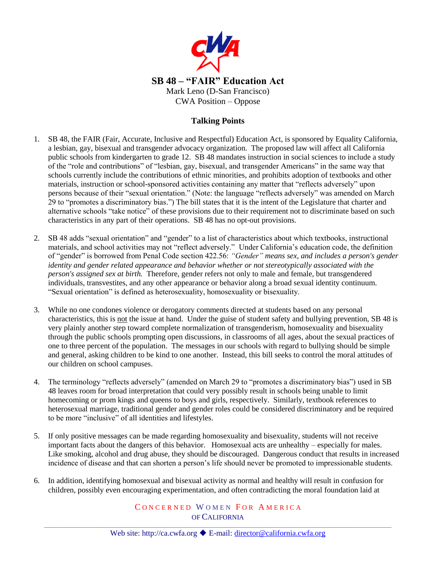

## **Talking Points**

- 1. SB 48, the FAIR (Fair, Accurate, Inclusive and Respectful) Education Act, is sponsored by Equality California, a lesbian, gay, bisexual and transgender advocacy organization. The proposed law will affect all California public schools from kindergarten to grade 12. SB 48 mandates instruction in social sciences to include a study of the "role and contributions" of "lesbian, gay, bisexual, and transgender Americans" in the same way that schools currently include the contributions of ethnic minorities, and prohibits adoption of textbooks and other materials, instruction or school-sponsored activities containing any matter that "reflects adversely" upon persons because of their "sexual orientation." (Note: the language "reflects adversely" was amended on March 29 to "promotes a discriminatory bias.") The bill states that it is the intent of the Legislature that charter and alternative schools "take notice" of these provisions due to their requirement not to discriminate based on such characteristics in any part of their operations. SB 48 has no opt-out provisions.
- 2. SB 48 adds "sexual orientation" and "gender" to a list of characteristics about which textbooks, instructional materials, and school activities may not "reflect adversely." Under California's education code, the definition of "gender" is borrowed from Penal Code section 422.56: *"Gender" means sex, and includes a person's gender identity and gender related appearance and behavior whether or not stereotypically associated with the person's assigned sex at birth.* Therefore, gender refers not only to male and female, but transgendered individuals, transvestites, and any other appearance or behavior along a broad sexual identity continuum. "Sexual orientation" is defined as heterosexuality, homosexuality or bisexuality.
- 3. While no one condones violence or derogatory comments directed at students based on any personal characteristics, this is not the issue at hand. Under the guise of student safety and bullying prevention, SB 48 is very plainly another step toward complete normalization of transgenderism, homosexuality and bisexuality through the public schools prompting open discussions, in classrooms of all ages, about the sexual practices of one to three percent of the population. The messages in our schools with regard to bullying should be simple and general, asking children to be kind to one another. Instead, this bill seeks to control the moral attitudes of our children on school campuses.
- 4. The terminology "reflects adversely" (amended on March 29 to "promotes a discriminatory bias") used in SB 48 leaves room for broad interpretation that could very possibly result in schools being unable to limit homecoming or prom kings and queens to boys and girls, respectively. Similarly, textbook references to heterosexual marriage, traditional gender and gender roles could be considered discriminatory and be required to be more "inclusive" of all identities and lifestyles.
- 5. If only positive messages can be made regarding homosexuality and bisexuality, students will not receive important facts about the dangers of this behavior. Homosexual acts are unhealthy – especially for males. Like smoking, alcohol and drug abuse, they should be discouraged. Dangerous conduct that results in increased incidence of disease and that can shorten a person's life should never be promoted to impressionable students.
- 6. In addition, identifying homosexual and bisexual activity as normal and healthy will result in confusion for children, possibly even encouraging experimentation, and often contradicting the moral foundation laid at

## CONCERNED WOMEN FOR AMERICA OF CALIFORNIA